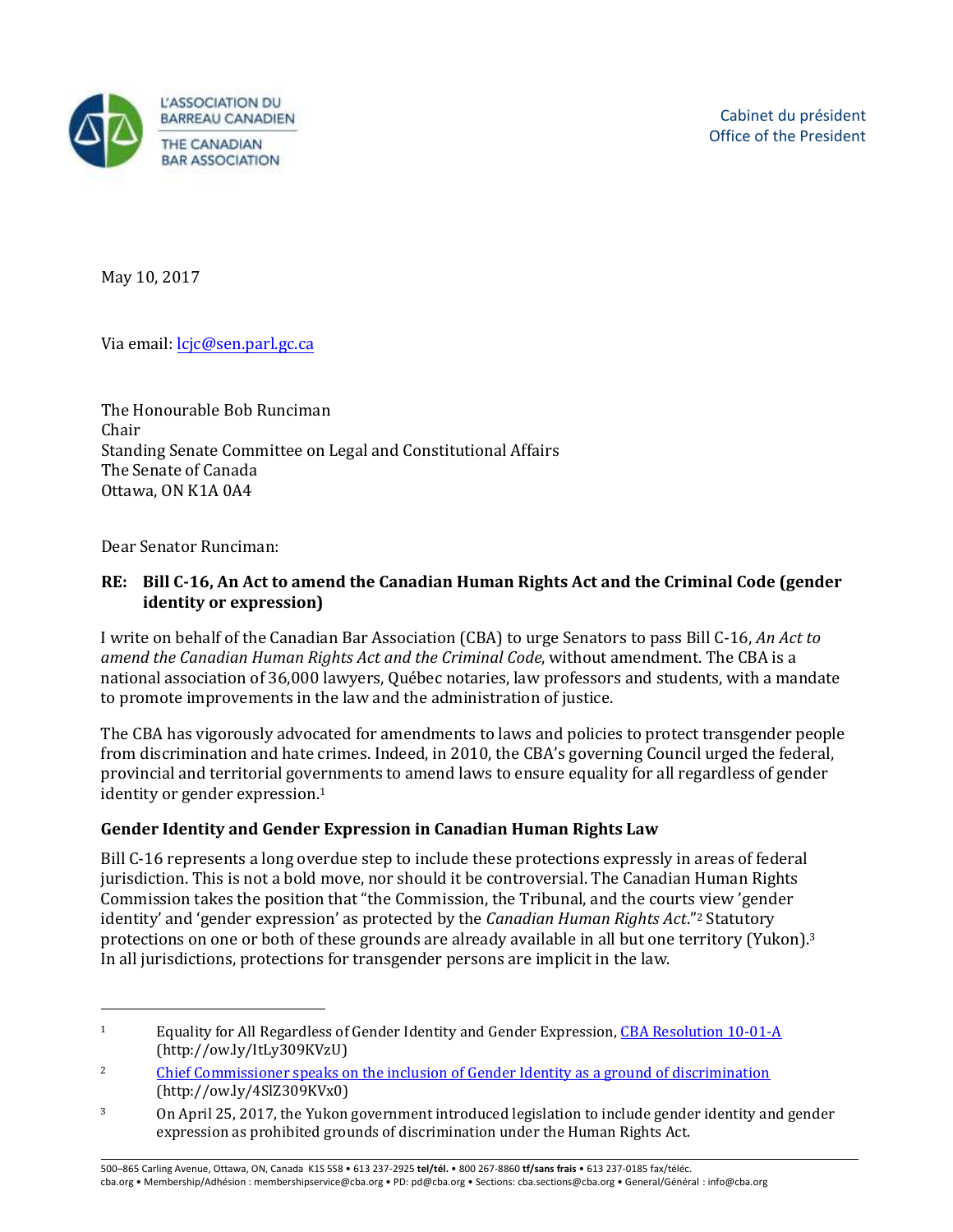

May 10, 2017

Via email[: lcjc@sen.parl.gc.ca](mailto:lcjc@sen.parl.gc.ca)

The Honourable Bob Runciman Chair Standing Senate Committee on Legal and Constitutional Affairs The Senate of Canada Ottawa, ON K1A 0A4

Dear Senator Runciman:

 $\overline{a}$ 

#### **RE: Bill C-16, An Act to amend the Canadian Human Rights Act and the Criminal Code (gender identity or expression)**

I write on behalf of the Canadian Bar Association (CBA) to urge Senators to pass Bill C-16, *An Act to amend the Canadian Human Rights Act and the Criminal Code*, without amendment. The CBA is a national association of 36,000 lawyers, Québec notaries, law professors and students, with a mandate to promote improvements in the law and the administration of justice.

The CBA has vigorously advocated for amendments to laws and policies to protect transgender people from discrimination and hate crimes. Indeed, in 2010, the CBA's governing Council urged the federal, provincial and territorial governments to amend laws to ensure equality for all regardless of gender identity or gender expression.<sup>1</sup>

### **Gender Identity and Gender Expression in Canadian Human Rights Law**

 Bill C-16 represents a long overdue step to include these protections expressly in areas of federal jurisdiction. This is not a bold move, nor should it be controversial. The Canadian Human Rights identity' and 'gender expression' as protected by the *Canadian Human Rights Act*."<sup>2</sup> Statutory protections on one or both of these grounds are already available in all but one territory (Yukon).<sup>3</sup> Commission takes the position that "the Commission, the Tribunal, and the courts view 'gender In all jurisdictions, protections for transgender persons are implicit in the law.

500–865 Carling !venue, Ottawa, ON, Canada K1S 5S8 • 613 237-2925 **tel/tél.** • 800 267-8860 **tf/sans frais** • 613 237-0185 fax/téléc. cba.org • Membership/Adhésion : membershipservice@cba.org • PD: pd@cba.org • Sections: cba.sections@cba.org • General/Général : info@cba.org

<sup>&</sup>lt;sup>1</sup> Equality for All Regardless of Gender Identity and Gender Expression, CBA Resolution  $10-01-A$ (http://ow.ly/ItLy309KVzU)

<sup>&</sup>lt;sup>2</sup> Chief Commissioner speaks on the inclusion of Gender Identity as a ground of discrimination (http://ow.ly/4SlZ309KVx0)

<sup>3</sup> On April 25, 2017, the Yukon government introduced legislation to include gender identity and gender expression as prohibited grounds of discrimination under the Human Rights Act.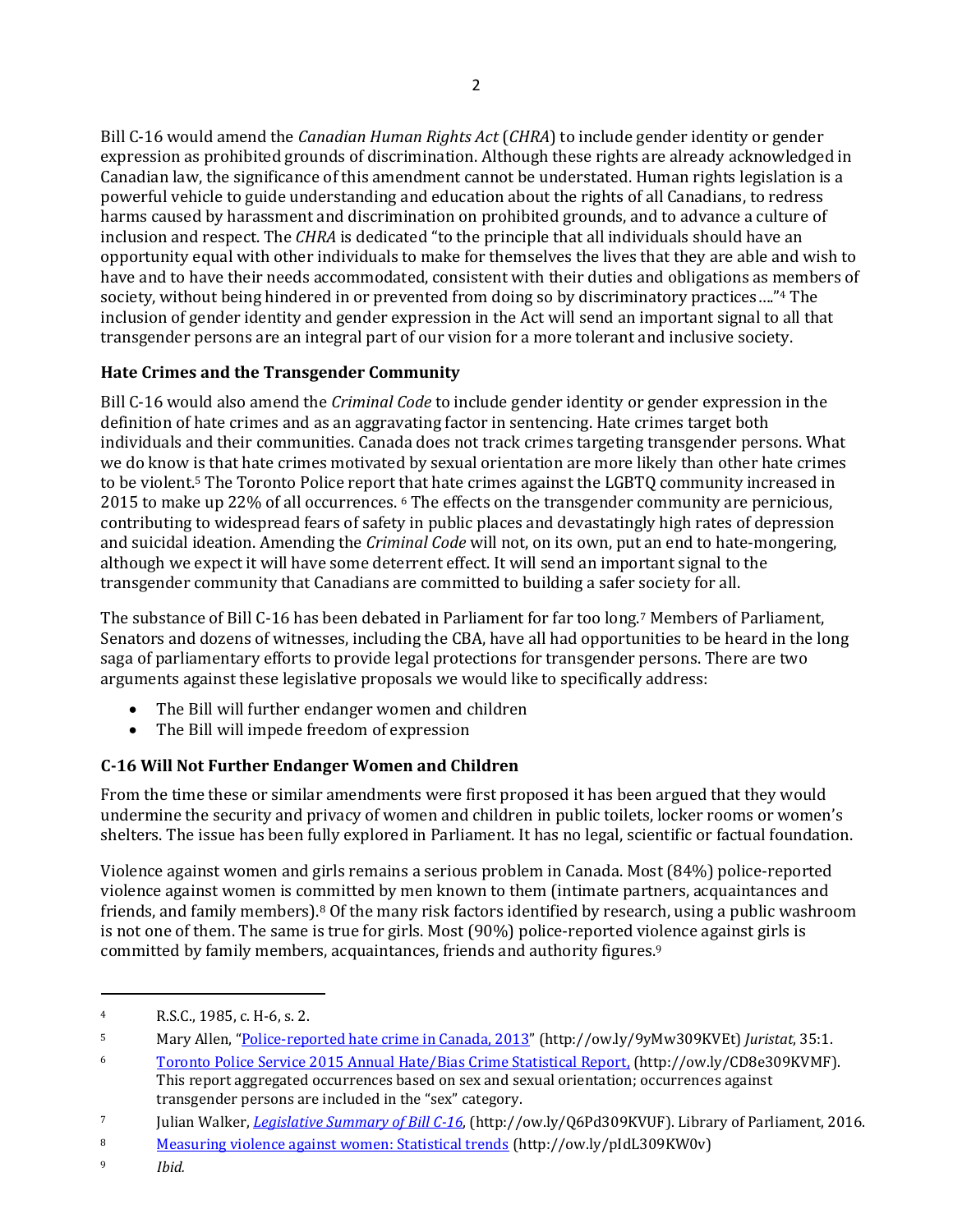Bill C-16 would amend the *Canadian Human Rights Act* (*CHRA*) to include gender identity or gender expression as prohibited grounds of discrimination. Although these rights are already acknowledged in inclusion and respect. The *CHRA* is dedicated "to the principle that all individuals should have an society, without being hindered in or prevented from doing so by discriminatory practices...."<sup>4</sup> The Canadian law, the significance of this amendment cannot be understated. Human rights legislation is a powerful vehicle to guide understanding and education about the rights of all Canadians, to redress harms caused by harassment and discrimination on prohibited grounds, and to advance a culture of opportunity equal with other individuals to make for themselves the lives that they are able and wish to have and to have their needs accommodated, consistent with their duties and obligations as members of inclusion of gender identity and gender expression in the Act will send an important signal to all that transgender persons are an integral part of our vision for a more tolerant and inclusive society.

## **Hate Crimes and the Transgender Community**

 Bill C-16 would also amend the *Criminal Code* to include gender identity or gender expression in the individuals and their communities. Canada does not track crimes targeting transgender persons. What to be violent.<sup>5</sup> The Toronto Police report that hate crimes against the LGBTQ community increased in 2015 to make up 22% of all occurrences. 6 The effects on the transgender community are pernicious, definition of hate crimes and as an aggravating factor in sentencing. Hate crimes target both we do know is that hate crimes motivated by sexual orientation are more likely than other hate crimes contributing to widespread fears of safety in public places and devastatingly high rates of depression and suicidal ideation. Amending the *Criminal Code* will not, on its own, put an end to hate-mongering, although we expect it will have some deterrent effect. It will send an important signal to the transgender community that Canadians are committed to building a safer society for all.

 Senators and dozens of witnesses, including the CBA, have all had opportunities to be heard in the long The substance of Bill C-16 has been debated in Parliament for far too long.7 Members of Parliament, saga of parliamentary efforts to provide legal protections for transgender persons. There are two arguments against these legislative proposals we would like to specifically address:

- The Bill will further endanger women and children
- The Bill will impede freedom of expression

# **C-16 Will Not Further Endanger Women and Children**

undermine the security and privacy of women and children in public toilets, locker rooms or women's From the time these or similar amendments were first proposed it has been argued that they would

shelters. The issue has been fully explored in Parliament. It has no legal, scientific or factual foundation.<br>Violence against women and girls remains a serious problem in Canada. Most (84%) police-reported friends, and family members).<sup>8</sup> Of the many risk factors identified by research, using a public washroom committed by family members, acquaintances, friends and authority figures.9 violence against women is committed by men known to them (intimate partners, acquaintances and is not one of them. The same is true for girls. Most (90%) police-reported violence against girls is

 $\overline{a}$ 

<sup>4</sup> R.S.C., 1985, c. H-6, s. 2.

<sup>5</sup> Mary Allen, "<u>[Police-reported hate crime in Canada, 2013](http://www.statcan.gc.ca/pub/85-002-x/2015001/article/14191-eng.pdf)</u>" (http://ow.ly/9yMw309KVEt) *Juristat*, 35:1.

 $\boldsymbol{6}$ 6 [Toronto Police Service 2015 Annual Hate/Bias Crime Statistical Report,](http://www.torontopolice.on.ca/publications/files/reports/2015hatecrimereport.pdf) (http://ow.ly/CD8e309KVMF).

This report aggregated occurrences based on sex and sexual orientation; occurrences against transgender persons are included in the "sex" category.

 7 Julian Walker, *[Legislati](http://www.lop.parl.gc.ca/Content/LOP/LegislativeSummaries/42/1/c16-e.pdf)ve Summary of Bill C-16*, (http://ow.ly/Q6Pd309KVUF). Library of Parliament, 2016.

<sup>8</sup> 8 [Measuring violence against women: Statistical trends](http://www.statcan.gc.ca/pub/85-002-x/2013001/article/11766-eng.pdf) (http://ow.ly/pIdL309KW0v)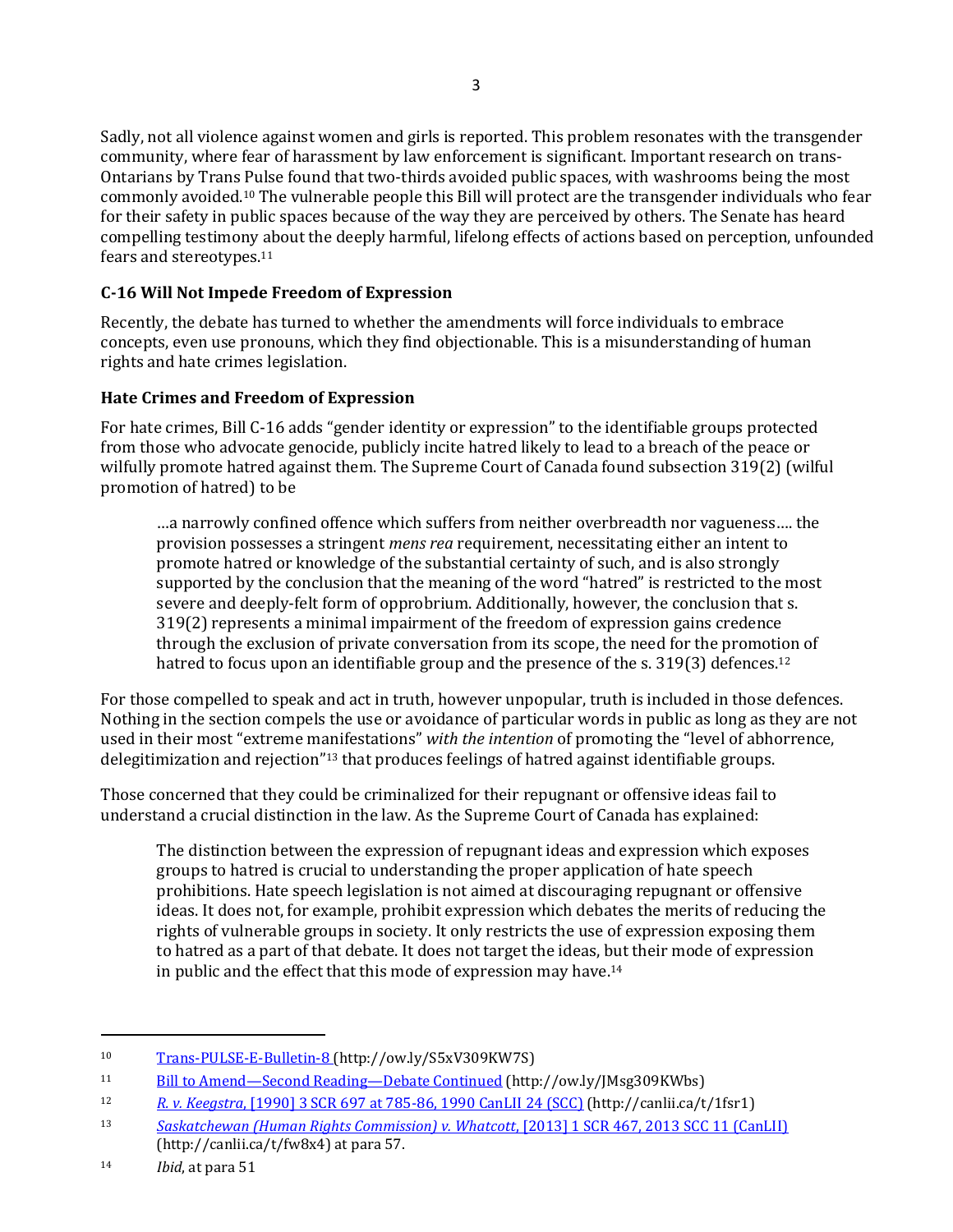Sadly, not all violence against women and girls is reported. This problem resonates with the transgender community, where fear of harassment by law enforcement is significant. Important research on trans-Ontarians by Trans Pulse found that two-thirds avoided public spaces, with washrooms being the most commonly avoided.10 The vulnerable people this Bill will protect are the transgender individuals who fear for their safety in public spaces because of the way they are perceived by others. The Senate has heard compelling testimony about the deeply harmful, lifelong effects of actions based on perception, unfounded fears and stereotypes.11

#### **C-16 Will Not Impede Freedom of Expression**

Recently, the debate has turned to whether the amendments will force individuals to embrace concepts, even use pronouns, which they find objectionable. This is a misunderstanding of human rights and hate crimes legislation.

#### **Hate Crimes and Freedom of Expression**

 wilfully promote hatred against them. The Supreme Court of Canada found subsection 319(2) (wilful For hate crimes, Bill C-16 adds "gender identity or expression" to the identifiable groups protected from those who advocate genocide, publicly incite hatred likely to lead to a breach of the peace or promotion of hatred) to be

hatred to focus upon an identifiable group and the presence of the s. 319(3) defences.<sup>12</sup> ...a narrowly confined offence which suffers from neither overbreadth nor vagueness.... the provision possesses a stringent *mens rea* requirement, necessitating either an intent to promote hatred or knowledge of the substantial certainty of such, and is also strongly supported by the conclusion that the meaning of the word "hatred" is restricted to the most severe and deeply-felt form of opprobrium. Additionally, however, the conclusion that s. 319(2) represents a minimal impairment of the freedom of expression gains credence through the exclusion of private conversation from its scope, the need for the promotion of

 For those compelled to speak and act in truth, however unpopular, truth is included in those defences. Nothing in the section compels the use or avoidance of particular words in public as long as they are not used in their most "extreme manifestations" with the intention of promoting the "level of abhorrence, delegitimization and rejection"<sup>13</sup> that produces feelings of hatred against identifiable groups.

Those concerned that they could be criminalized for their repugnant or offensive ideas fail to understand a crucial distinction in the law. As the Supreme Court of Canada has explained:

The distinction between the expression of repugnant ideas and expression which exposes groups to hatred is crucial to understanding the proper application of hate speech prohibitions. Hate speech legislation is not aimed at discouraging repugnant or offensive ideas. It does not, for example, prohibit expression which debates the merits of reducing the rights of vulnerable groups in society. It only restricts the use of expression exposing them to hatred as a part of that debate. It does not target the ideas, but their mode of expression in public and the effect that this mode of expression may have.14

 $\overline{a}$ 

 $10$ [Trans-PULSE-E-Bulletin-8](http://transpulseproject.ca/wp-content/uploads/2014/01/Trans-PULSE-E-Bulletin-8-English.pdf) (http://ow.ly/S5xV309KW7S)

 $11$ Bill to Amend—Second Reading—[Debate Continued](https://sencanada.ca/en/Content/Sen/chamber/421/debates/080db_2016-12-01-e#45) (http://ow.ly/JMsg309KWbs)

 $12<sup>2</sup>$ <sup>12</sup>*R. v. Keegstra*[, \[1990\] 3 SCR 697 at 785-86, 1990 CanLII 24 \(SCC\)](http://canlii.ca/t/1fsr1) (http://canlii.ca/t/1fsr1)

<sup>13</sup> <sup>13</sup>*Saskatchewan (Human Rights Commission) v. Whatcott*[, \[2013\] 1 SCR 467, 2013 SCC 11 \(CanLII\)](http://canlii.ca/t/fw8x4)  (http://canlii.ca/t/fw8x4) at para 57.

<sup>14</sup> *Ibid*, at para 51